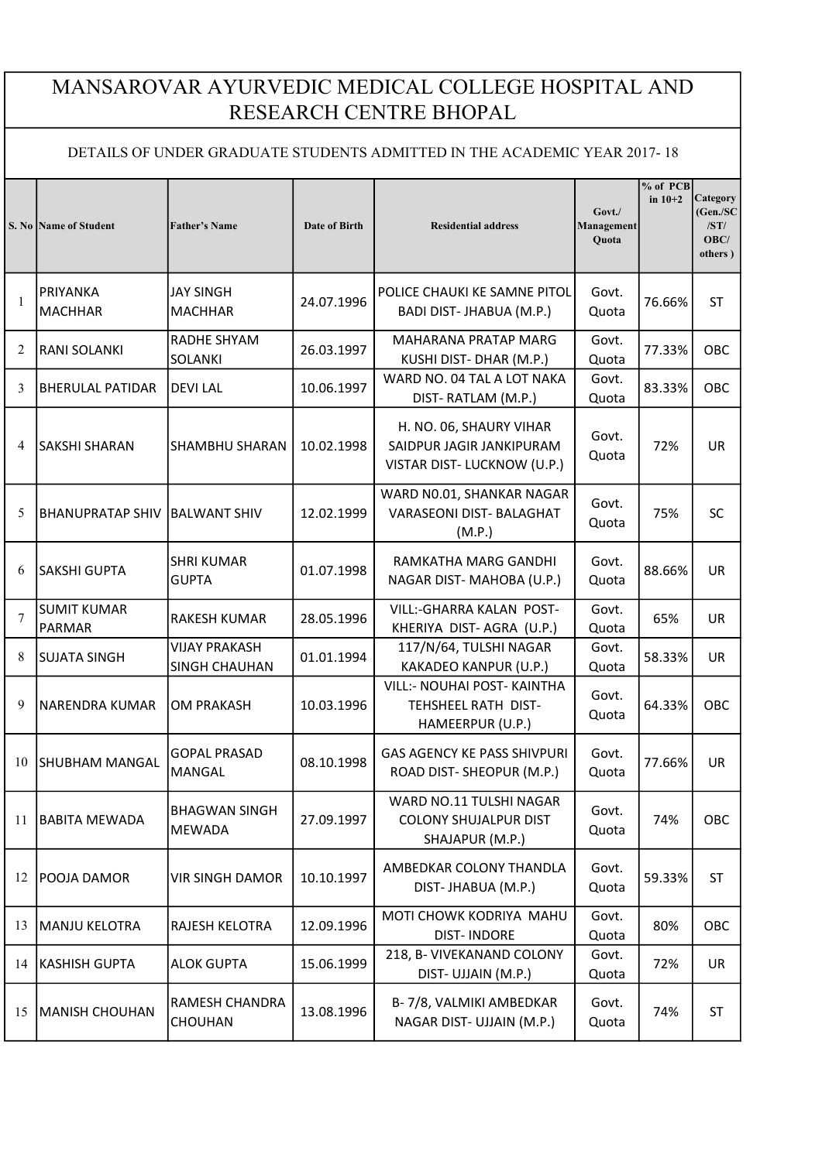## MANSAROVAR AYURVEDIC MEDICAL COLLEGE HOSPITAL AND RESEARCH CENTRE BHOPAL

## DETAILS OF UNDER GRADUATE STUDENTS ADMITTED IN THE ACADEMIC YEAR 2017- 18

|                | S. No Name of Student               | <b>Father's Name</b>                         | Date of Birth | <b>Residential address</b>                                                        | $Govt$ .<br>Management<br>Quota | % of PCB<br>in $10+2$ | Category<br>(Gen./SC)<br>/ST/<br>OBC/<br>others) |
|----------------|-------------------------------------|----------------------------------------------|---------------|-----------------------------------------------------------------------------------|---------------------------------|-----------------------|--------------------------------------------------|
| 1              | PRIYANKA<br><b>MACHHAR</b>          | <b>JAY SINGH</b><br><b>MACHHAR</b>           | 24.07.1996    | POLICE CHAUKI KE SAMNE PITOL<br>BADI DIST- JHABUA (M.P.)                          | Govt.<br>Quota                  | 76.66%                | <b>ST</b>                                        |
| 2              | <b>RANI SOLANKI</b>                 | RADHE SHYAM<br>SOLANKI                       | 26.03.1997    | MAHARANA PRATAP MARG<br>KUSHI DIST- DHAR (M.P.)                                   | Govt.<br>Quota                  | 77.33%                | OBC                                              |
| 3              | <b>BHERULAL PATIDAR</b>             | <b>DEVILAL</b>                               | 10.06.1997    | WARD NO. 04 TAL A LOT NAKA<br>DIST-RATLAM (M.P.)                                  | Govt.<br>Quota                  | 83.33%                | OBC                                              |
| $\overline{4}$ | <b>SAKSHI SHARAN</b>                | <b>SHAMBHU SHARAN</b>                        | 10.02.1998    | H. NO. 06, SHAURY VIHAR<br>SAIDPUR JAGIR JANKIPURAM<br>VISTAR DIST-LUCKNOW (U.P.) | Govt.<br>Quota                  | 72%                   | <b>UR</b>                                        |
| 5              | <b>BHANUPRATAP SHIV</b>             | <b>BALWANT SHIV</b>                          | 12.02.1999    | WARD NO.01, SHANKAR NAGAR<br>VARASEONI DIST- BALAGHAT<br>(M.P.)                   | Govt.<br>Quota                  | 75%                   | <b>SC</b>                                        |
| 6              | <b>SAKSHI GUPTA</b>                 | <b>SHRI KUMAR</b><br><b>GUPTA</b>            | 01.07.1998    | RAMKATHA MARG GANDHI<br>NAGAR DIST-MAHOBA (U.P.)                                  | Govt.<br>Quota                  | 88.66%                | <b>UR</b>                                        |
| $\overline{7}$ | <b>SUMIT KUMAR</b><br><b>PARMAR</b> | RAKESH KUMAR                                 | 28.05.1996    | VILL:-GHARRA KALAN POST-<br>KHERIYA DIST-AGRA (U.P.)                              | Govt.<br>Quota                  | 65%                   | <b>UR</b>                                        |
| 8              | <b>SUJATA SINGH</b>                 | <b>VIJAY PRAKASH</b><br><b>SINGH CHAUHAN</b> | 01.01.1994    | 117/N/64, TULSHI NAGAR<br>KAKADEO KANPUR (U.P.)                                   | Govt.<br>Quota                  | 58.33%                | <b>UR</b>                                        |
| 9              | <b>NARENDRA KUMAR</b>               | <b>OM PRAKASH</b>                            | 10.03.1996    | VILL:- NOUHAI POST- KAINTHA<br>TEHSHEEL RATH DIST-<br>HAMEERPUR (U.P.)            | Govt.<br>Quota                  | 64.33%                | OBC                                              |
| 10             | SHUBHAM MANGAL                      | <b>GOPAL PRASAD</b><br>MANGAL                | 08.10.1998    | <b>GAS AGENCY KE PASS SHIVPURI</b><br>ROAD DIST- SHEOPUR (M.P.)                   | Govt.<br>Quota                  | 77.66%                | <b>UR</b>                                        |
| 11             | BABITA MEWADA                       | <b>BHAGWAN SINGH</b><br><b>MEWADA</b>        | 27.09.1997    | WARD NO.11 TULSHI NAGAR<br><b>COLONY SHUJALPUR DIST</b><br>SHAJAPUR (M.P.)        | Govt.<br>Quota                  | 74%                   | OBC                                              |
| 12             | POOJA DAMOR                         | <b>VIR SINGH DAMOR</b>                       | 10.10.1997    | AMBEDKAR COLONY THANDLA<br>DIST-JHABUA (M.P.)                                     | Govt.<br>Quota                  | 59.33%                | <b>ST</b>                                        |
| 13             | <b>MANJU KELOTRA</b>                | RAJESH KELOTRA                               | 12.09.1996    | MOTI CHOWK KODRIYA MAHU<br><b>DIST-INDORE</b>                                     | Govt.<br>Quota                  | 80%                   | OBC                                              |
| 14             | <b>KASHISH GUPTA</b>                | <b>ALOK GUPTA</b>                            | 15.06.1999    | 218, B- VIVEKANAND COLONY<br>DIST- UJJAIN (M.P.)                                  | Govt.<br>Quota                  | 72%                   | UR                                               |
| 15             | <b>MANISH CHOUHAN</b>               | RAMESH CHANDRA<br><b>CHOUHAN</b>             | 13.08.1996    | B-7/8, VALMIKI AMBEDKAR<br>NAGAR DIST- UJJAIN (M.P.)                              | Govt.<br>Quota                  | 74%                   | ST                                               |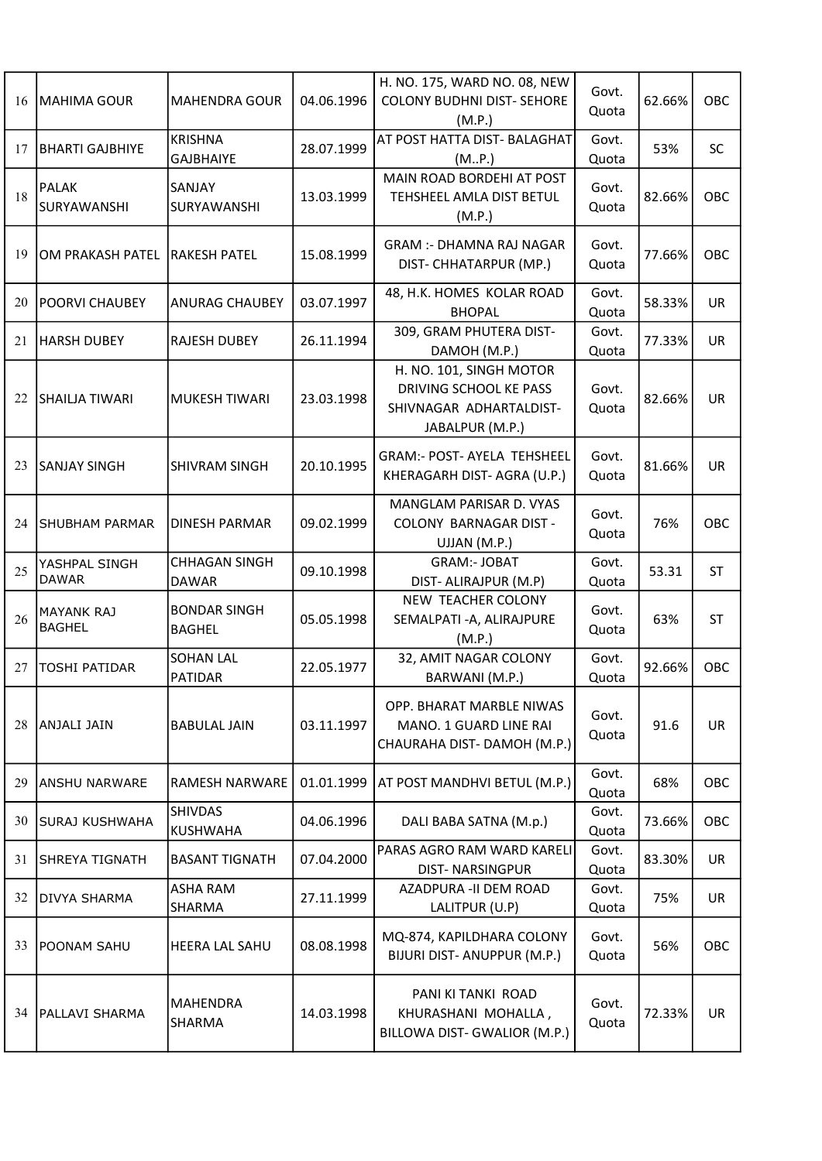| 16 | MAHIMA GOUR                        | <b>MAHENDRA GOUR</b>                 | 04.06.1996 | H. NO. 175, WARD NO. 08, NEW<br><b>COLONY BUDHNI DIST- SEHORE</b><br>(M.P.)                     | Govt.<br>Quota | 62.66% | OBC       |
|----|------------------------------------|--------------------------------------|------------|-------------------------------------------------------------------------------------------------|----------------|--------|-----------|
| 17 | <b>BHARTI GAJBHIYE</b>             | <b>KRISHNA</b><br><b>GAJBHAIYE</b>   | 28.07.1999 | AT POST HATTA DIST- BALAGHAT<br>(M.P.)                                                          | Govt.<br>Quota | 53%    | <b>SC</b> |
| 18 | <b>PALAK</b><br>SURYAWANSHI        | SANJAY<br>SURYAWANSHI                | 13.03.1999 | MAIN ROAD BORDEHI AT POST<br>TEHSHEEL AMLA DIST BETUL<br>(M.P.)                                 | Govt.<br>Quota | 82.66% | OBC       |
| 19 | OM PRAKASH PATEL                   | <b>RAKESH PATEL</b>                  | 15.08.1999 | <b>GRAM :- DHAMNA RAJ NAGAR</b><br>DIST- CHHATARPUR (MP.)                                       | Govt.<br>Quota | 77.66% | OBC       |
| 20 | <b>POORVI CHAUBEY</b>              | <b>ANURAG CHAUBEY</b>                | 03.07.1997 | 48, H.K. HOMES KOLAR ROAD<br><b>BHOPAL</b>                                                      | Govt.<br>Quota | 58.33% | <b>UR</b> |
| 21 | <b>HARSH DUBEY</b>                 | <b>RAJESH DUBEY</b>                  | 26.11.1994 | 309, GRAM PHUTERA DIST-<br>DAMOH (M.P.)                                                         | Govt.<br>Quota | 77.33% | UR        |
| 22 | <b>SHAILIA TIWARI</b>              | MUKESH TIWARI                        | 23.03.1998 | H. NO. 101, SINGH MOTOR<br>DRIVING SCHOOL KE PASS<br>SHIVNAGAR ADHARTALDIST-<br>JABALPUR (M.P.) | Govt.<br>Quota | 82.66% | <b>UR</b> |
| 23 | <b>SANJAY SINGH</b>                | <b>SHIVRAM SINGH</b>                 | 20.10.1995 | <b>GRAM:- POST- AYELA TEHSHEEL</b><br>KHERAGARH DIST-AGRA (U.P.)                                | Govt.<br>Quota | 81.66% | <b>UR</b> |
| 24 | <b>SHUBHAM PARMAR</b>              | <b>DINESH PARMAR</b>                 | 09.02.1999 | MANGLAM PARISAR D. VYAS<br><b>COLONY BARNAGAR DIST -</b><br>UJJAN (M.P.)                        | Govt.<br>Quota | 76%    | OBC       |
| 25 | YASHPAL SINGH<br><b>DAWAR</b>      | <b>CHHAGAN SINGH</b><br><b>DAWAR</b> | 09.10.1998 | <b>GRAM:- JOBAT</b><br>DIST- ALIRAJPUR (M.P)                                                    | Govt.<br>Quota | 53.31  | <b>ST</b> |
| 26 | <b>MAYANK RAJ</b><br><b>BAGHEL</b> | <b>BONDAR SINGH</b><br><b>BAGHEL</b> | 05.05.1998 | NEW TEACHER COLONY<br>SEMALPATI - A, ALIRAJPURE<br>(M.P.)                                       | Govt.<br>Quota | 63%    | ST        |
| 27 | <b>TOSHI PATIDAR</b>               | <b>SOHAN LAL</b><br>PATIDAR          | 22.05.1977 | 32, AMIT NAGAR COLONY<br>BARWANI (M.P.)                                                         | Govt.<br>Quota | 92.66% | OBC       |
| 28 | ANJALI JAIN                        | <b>BABULAL JAIN</b>                  | 03.11.1997 | OPP. BHARAT MARBLE NIWAS<br>MANO. 1 GUARD LINE RAI<br>CHAURAHA DIST-DAMOH (M.P.)                | Govt.<br>Quota | 91.6   | UR        |
| 29 | <b>IANSHU NARWARE</b>              | RAMESH NARWARE                       | 01.01.1999 | AT POST MANDHVI BETUL (M.P.)                                                                    | Govt.<br>Quota | 68%    | OBC       |
| 30 | <b>SURAJ KUSHWAHA</b>              | <b>SHIVDAS</b><br><b>KUSHWAHA</b>    | 04.06.1996 | DALI BABA SATNA (M.p.)                                                                          | Govt.<br>Quota | 73.66% | OBC       |
| 31 | <b>SHREYA TIGNATH</b>              | <b>BASANT TIGNATH</b>                | 07.04.2000 | PARAS AGRO RAM WARD KARELI<br><b>DIST-NARSINGPUR</b>                                            | Govt.<br>Quota | 83.30% | UR.       |
| 32 | <b>DIVYA SHARMA</b>                | ASHA RAM<br>SHARMA                   | 27.11.1999 | AZADPURA - II DEM ROAD<br>LALITPUR (U.P)                                                        | Govt.<br>Quota | 75%    | UR        |
| 33 | <b>POONAM SAHU</b>                 | HEERA LAL SAHU                       | 08.08.1998 | MQ-874, KAPILDHARA COLONY<br>BIJURI DIST- ANUPPUR (M.P.)                                        | Govt.<br>Quota | 56%    | OBC       |
| 34 | <b>PALLAVI SHARMA</b>              | MAHENDRA<br>SHARMA                   | 14.03.1998 | PANI KI TANKI ROAD<br>KHURASHANI MOHALLA,<br>BILLOWA DIST- GWALIOR (M.P.)                       | Govt.<br>Quota | 72.33% | UR        |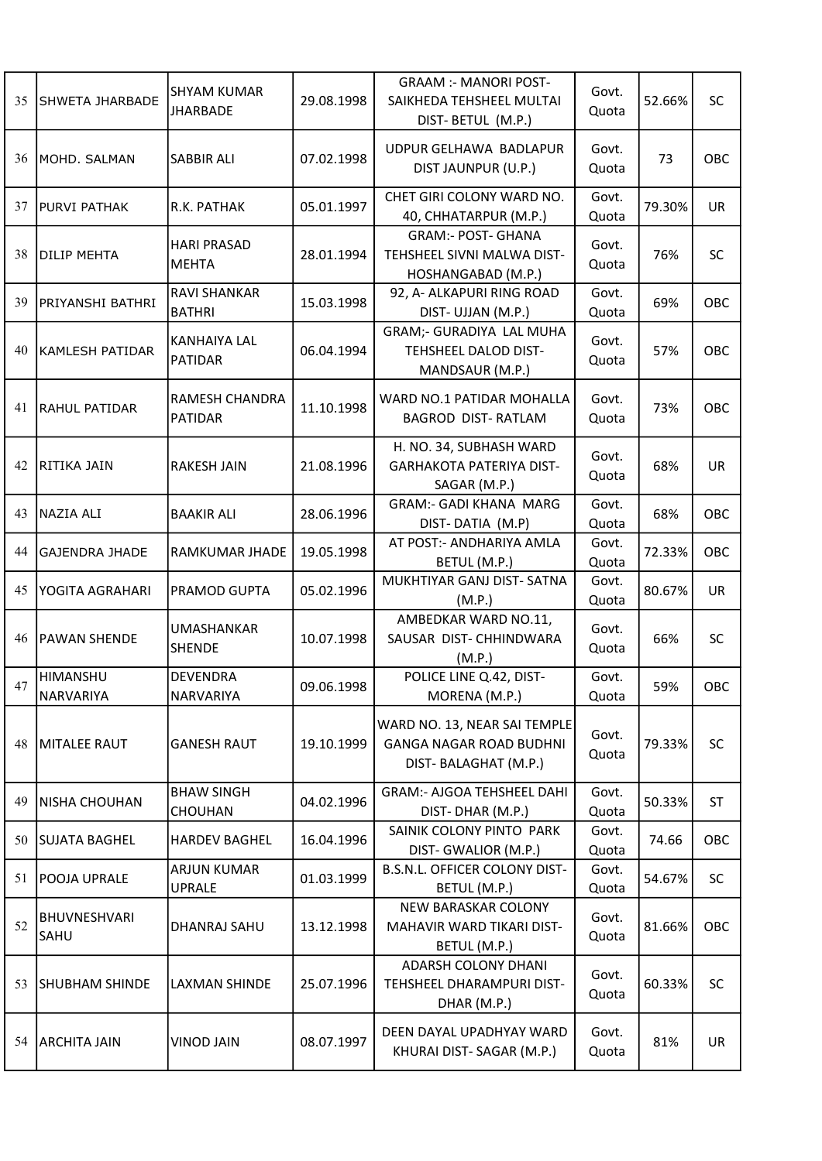| 35 | SHWETA JHARBADE             | <b>SHYAM KUMAR</b><br><b>JHARBADE</b> | 29.08.1998 | <b>GRAAM :- MANORI POST-</b><br>SAIKHEDA TEHSHEEL MULTAI<br>DIST- BETUL (M.P.)         | Govt.<br>Quota | 52.66% | SC        |
|----|-----------------------------|---------------------------------------|------------|----------------------------------------------------------------------------------------|----------------|--------|-----------|
| 36 | IMOHD. SALMAN               | <b>SABBIR ALI</b>                     | 07.02.1998 | UDPUR GELHAWA BADLAPUR<br>DIST JAUNPUR (U.P.)                                          | Govt.<br>Quota | 73     | OBC       |
| 37 | <b>PURVI PATHAK</b>         | R.K. PATHAK                           | 05.01.1997 | CHET GIRI COLONY WARD NO.<br>40, CHHATARPUR (M.P.)                                     | Govt.<br>Quota | 79.30% | UR        |
| 38 | <b>DILIP MEHTA</b>          | <b>HARI PRASAD</b><br><b>MEHTA</b>    | 28.01.1994 | <b>GRAM:- POST- GHANA</b><br>TEHSHEEL SIVNI MALWA DIST-<br>HOSHANGABAD (M.P.)          | Govt.<br>Quota | 76%    | <b>SC</b> |
| 39 | <b>PRIYANSHI BATHRI</b>     | RAVI SHANKAR<br><b>BATHRI</b>         | 15.03.1998 | 92, A- ALKAPURI RING ROAD<br>DIST- UJJAN (M.P.)                                        | Govt.<br>Quota | 69%    | OBC       |
| 40 | KAMLESH PATIDAR             | <b>KANHAIYA LAL</b><br><b>PATIDAR</b> | 06.04.1994 | GRAM;- GURADIYA LAL MUHA<br>TEHSHEEL DALOD DIST-<br>MANDSAUR (M.P.)                    | Govt.<br>Quota | 57%    | OBC       |
| 41 | <b>RAHUL PATIDAR</b>        | RAMESH CHANDRA<br><b>PATIDAR</b>      | 11.10.1998 | WARD NO.1 PATIDAR MOHALLA<br><b>BAGROD DIST-RATLAM</b>                                 | Govt.<br>Quota | 73%    | OBC       |
| 42 | RITIKA JAIN                 | <b>RAKESH JAIN</b>                    | 21.08.1996 | H. NO. 34, SUBHASH WARD<br><b>GARHAKOTA PATERIYA DIST-</b><br>SAGAR (M.P.)             | Govt.<br>Quota | 68%    | UR        |
| 43 | NAZIA ALI                   | <b>BAAKIR ALI</b>                     | 28.06.1996 | <b>GRAM:- GADI KHANA MARG</b><br>DIST-DATIA (M.P)                                      | Govt.<br>Quota | 68%    | OBC       |
| 44 | <b>GAJENDRA JHADE</b>       | RAMKUMAR JHADE                        | 19.05.1998 | AT POST:- ANDHARIYA AMLA<br>BETUL (M.P.)                                               | Govt.<br>Quota | 72.33% | OBC       |
| 45 | YOGITA AGRAHARI             | PRAMOD GUPTA                          | 05.02.1996 | MUKHTIYAR GANJ DIST- SATNA<br>(M.P.)                                                   | Govt.<br>Quota | 80.67% | <b>UR</b> |
| 46 | <b>PAWAN SHENDE</b>         | <b>UMASHANKAR</b><br><b>SHENDE</b>    | 10.07.1998 | AMBEDKAR WARD NO.11,<br>SAUSAR DIST- CHHINDWARA<br>(M.P.)                              | Govt.<br>Quota | 66%    | <b>SC</b> |
| 47 | HIMANSHU<br>NARVARIYA       | <b>DEVENDRA</b><br>NARVARIYA          | 09.06.1998 | POLICE LINE Q.42, DIST-<br>MORENA (M.P.)                                               | Govt.<br>Quota | 59%    | OBC       |
| 48 | <b>MITALEE RAUT</b>         | <b>GANESH RAUT</b>                    | 19.10.1999 | WARD NO. 13, NEAR SAI TEMPLE<br><b>GANGA NAGAR ROAD BUDHNI</b><br>DIST-BALAGHAT (M.P.) | Govt.<br>Quota | 79.33% | <b>SC</b> |
| 49 | <b>NISHA CHOUHAN</b>        | <b>BHAW SINGH</b><br>CHOUHAN          | 04.02.1996 | <b>GRAM:- AJGOA TEHSHEEL DAHI</b><br>DIST-DHAR (M.P.)                                  | Govt.<br>Quota | 50.33% | <b>ST</b> |
| 50 | <b>SUJATA BAGHEL</b>        | <b>HARDEV BAGHEL</b>                  | 16.04.1996 | SAINIK COLONY PINTO PARK<br>DIST- GWALIOR (M.P.)                                       | Govt.<br>Quota | 74.66  | OBC       |
| 51 | <b>POOJA UPRALE</b>         | <b>ARJUN KUMAR</b><br><b>UPRALE</b>   | 01.03.1999 | B.S.N.L. OFFICER COLONY DIST-<br>BETUL (M.P.)                                          | Govt.<br>Quota | 54.67% | <b>SC</b> |
| 52 | <b>BHUVNESHVARI</b><br>SAHU | DHANRAJ SAHU                          | 13.12.1998 | <b>NEW BARASKAR COLONY</b><br>MAHAVIR WARD TIKARI DIST-<br>BETUL (M.P.)                | Govt.<br>Quota | 81.66% | OBC       |
| 53 | <b>SHUBHAM SHINDE</b>       | LAXMAN SHINDE                         | 25.07.1996 | <b>ADARSH COLONY DHANI</b><br>TEHSHEEL DHARAMPURI DIST-<br>DHAR (M.P.)                 | Govt.<br>Quota | 60.33% | <b>SC</b> |
| 54 | <b>ARCHITA JAIN</b>         | <b>VINOD JAIN</b>                     | 08.07.1997 | DEEN DAYAL UPADHYAY WARD<br>KHURAI DIST- SAGAR (M.P.)                                  | Govt.<br>Quota | 81%    | UR        |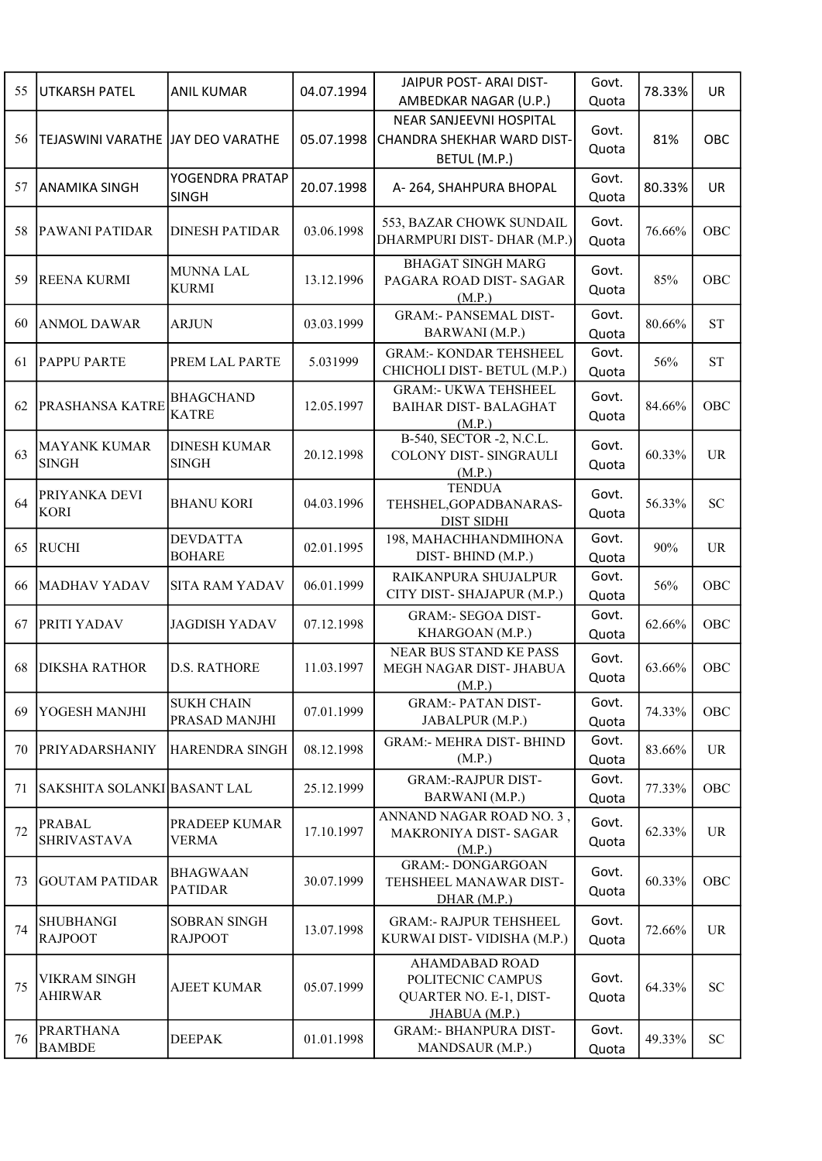| 55 | UTKARSH PATEL                       | <b>ANIL KUMAR</b>                   | 04.07.1994 | JAIPUR POST- ARAI DIST-            | Govt. | 78.33% | UR                         |
|----|-------------------------------------|-------------------------------------|------------|------------------------------------|-------|--------|----------------------------|
|    |                                     |                                     |            | AMBEDKAR NAGAR (U.P.)              | Quota |        |                            |
|    |                                     |                                     |            | NEAR SANJEEVNI HOSPITAL            | Govt. |        |                            |
| 56 | TEJASWINI VARATHE JJAY DEO VARATHE  |                                     | 05.07.1998 | CHANDRA SHEKHAR WARD DIST-         | Quota | 81%    | OBC                        |
|    |                                     |                                     |            | BETUL (M.P.)                       |       |        |                            |
| 57 | <b>ANAMIKA SINGH</b>                | YOGENDRA PRATAP                     | 20.07.1998 | A-264, SHAHPURA BHOPAL             | Govt. | 80.33% | UR                         |
|    |                                     | <b>SINGH</b>                        |            |                                    | Quota |        |                            |
|    |                                     |                                     |            | 553, BAZAR CHOWK SUNDAIL           | Govt. |        |                            |
| 58 | PAWANI PATIDAR                      | <b>DINESH PATIDAR</b>               | 03.06.1998 | DHARMPURI DIST-DHAR (M.P.)         | Quota | 76.66% | OBC                        |
|    |                                     |                                     |            | <b>BHAGAT SINGH MARG</b>           |       |        |                            |
| 59 | <b>REENA KURMI</b>                  | <b>MUNNA LAL</b>                    | 13.12.1996 | PAGARA ROAD DIST- SAGAR            | Govt. | 85%    | OBC                        |
|    |                                     | <b>KURMI</b>                        |            | (M.P.)                             | Quota |        |                            |
|    |                                     |                                     |            | <b>GRAM:- PANSEMAL DIST-</b>       | Govt. |        |                            |
| 60 | <b>ANMOL DAWAR</b>                  | <b>ARJUN</b>                        | 03.03.1999 | BARWANI (M.P.)                     | Quota | 80.66% | <b>ST</b>                  |
|    |                                     |                                     |            | <b>GRAM:- KONDAR TEHSHEEL</b>      | Govt. |        |                            |
| 61 | <b>PAPPU PARTE</b>                  | PREM LAL PARTE                      | 5.031999   | CHICHOLI DIST-BETUL (M.P.)         | Quota | 56%    | <b>ST</b>                  |
|    |                                     |                                     |            | <b>GRAM:- UKWA TEHSHEEL</b>        |       |        |                            |
| 62 | PRASHANSA KATRE                     | <b>BHAGCHAND</b>                    | 12.05.1997 | <b>BAIHAR DIST-BALAGHAT</b>        | Govt. | 84.66% | OBC                        |
|    |                                     | <b>KATRE</b>                        |            | (M.P.)                             | Quota |        |                            |
|    |                                     |                                     |            | B-540, SECTOR -2, N.C.L.           |       |        |                            |
| 63 | <b>MAYANK KUMAR</b><br><b>SINGH</b> | <b>DINESH KUMAR</b><br><b>SINGH</b> | 20.12.1998 | COLONY DIST- SINGRAULI             | Govt. | 60.33% | <b>UR</b>                  |
|    |                                     |                                     |            | (M.P.)                             | Quota |        |                            |
|    | PRIYANKA DEVI                       |                                     |            | <b>TENDUA</b>                      | Govt. |        |                            |
| 64 | <b>KORI</b>                         | <b>BHANU KORI</b>                   | 04.03.1996 | TEHSHEL, GOPADBANARAS-             | Quota | 56.33% | <b>SC</b>                  |
|    |                                     |                                     |            | <b>DIST SIDHI</b>                  |       |        |                            |
| 65 | <b>RUCHI</b>                        | <b>DEVDATTA</b>                     | 02.01.1995 | 198, MAHACHHANDMIHONA              | Govt. | 90%    | <b>UR</b>                  |
|    |                                     | <b>BOHARE</b>                       |            | DIST-BHIND (M.P.)                  | Quota |        |                            |
| 66 | <b>MADHAV YADAV</b>                 | <b>SITA RAM YADAV</b>               | 06.01.1999 | RAIKANPURA SHUJALPUR               | Govt. | 56%    | OBC                        |
|    |                                     |                                     |            | CITY DIST-SHAJAPUR (M.P.)          | Quota |        |                            |
| 67 | PRITI YADAV                         | <b>JAGDISH YADAV</b>                | 07.12.1998 | <b>GRAM:- SEGOA DIST-</b>          | Govt. | 62.66% | OBC                        |
|    |                                     |                                     |            | KHARGOAN (M.P.)                    | Quota |        |                            |
|    |                                     |                                     |            | <b>NEAR BUS STAND KE PASS</b>      | Govt. |        |                            |
| 68 | <b>DIKSHA RATHOR</b>                | <b>D.S. RATHORE</b>                 | 11.03.1997 | MEGH NAGAR DIST- JHABUA            | Quota | 63.66% | OBC                        |
|    |                                     |                                     |            | (M.P.)                             |       |        |                            |
| 69 | YOGESH MANJHI                       | <b>SUKH CHAIN</b>                   | 07.01.1999 | <b>GRAM:- PATAN DIST-</b>          | Govt. | 74.33% | OBC                        |
|    |                                     | PRASAD MANJHI                       |            | JABALPUR (M.P.)                    | Quota |        |                            |
| 70 | <b>PRIYADARSHANIY</b>               | HARENDRA SINGH                      | 08.12.1998 | <b>GRAM:- MEHRA DIST- BHIND</b>    | Govt. | 83.66% | <b>UR</b>                  |
|    |                                     |                                     |            | (M.P.)                             | Quota |        |                            |
| 71 | SAKSHITA SOLANKI BASANT LAL         |                                     | 25.12.1999 | <b>GRAM:-RAJPUR DIST-</b>          | Govt. | 77.33% | OBC                        |
|    |                                     |                                     |            | BARWANI (M.P.)                     | Quota |        |                            |
|    | <b>PRABAL</b>                       | PRADEEP KUMAR                       |            | ANNAND NAGAR ROAD NO. 3,           | Govt. |        |                            |
| 72 | <b>SHRIVASTAVA</b>                  | VERMA                               | 17.10.1997 | MAKRONIYA DIST- SAGAR              | Quota | 62.33% | <b>UR</b>                  |
|    |                                     |                                     |            | (M.P.)<br><b>GRAM:- DONGARGOAN</b> |       |        |                            |
| 73 | <b>GOUTAM PATIDAR</b>               | <b>BHAGWAAN</b>                     | 30.07.1999 | TEHSHEEL MANAWAR DIST-             | Govt. | 60.33% | OBC                        |
|    |                                     | <b>PATIDAR</b>                      |            | DHAR(M.P.)                         | Quota |        |                            |
|    |                                     |                                     |            |                                    |       |        |                            |
| 74 | <b>SHUBHANGI</b>                    | <b>SOBRAN SINGH</b>                 | 13.07.1998 | <b>GRAM:- RAJPUR TEHSHEEL</b>      | Govt. | 72.66% | <b>UR</b>                  |
|    | <b>RAJPOOT</b>                      | <b>RAJPOOT</b>                      |            | KURWAI DIST- VIDISHA (M.P.)        | Quota |        |                            |
|    |                                     |                                     |            | <b>AHAMDABAD ROAD</b>              |       |        |                            |
| 75 | VIKRAM SINGH                        | <b>AJEET KUMAR</b>                  | 05.07.1999 | POLITECNIC CAMPUS                  | Govt. | 64.33% | SC                         |
|    | <b>AHIRWAR</b>                      |                                     |            | QUARTER NO. E-1, DIST-             | Quota |        |                            |
|    |                                     |                                     |            | JHABUA (M.P.)                      |       |        |                            |
| 76 | <b>PRARTHANA</b><br><b>BAMBDE</b>   | <b>DEEPAK</b>                       | 01.01.1998 | <b>GRAM:- BHANPURA DIST-</b>       | Govt. | 49.33% | $\ensuremath{\mathbf{SC}}$ |
|    |                                     |                                     |            | MANDSAUR (M.P.)                    | Quota |        |                            |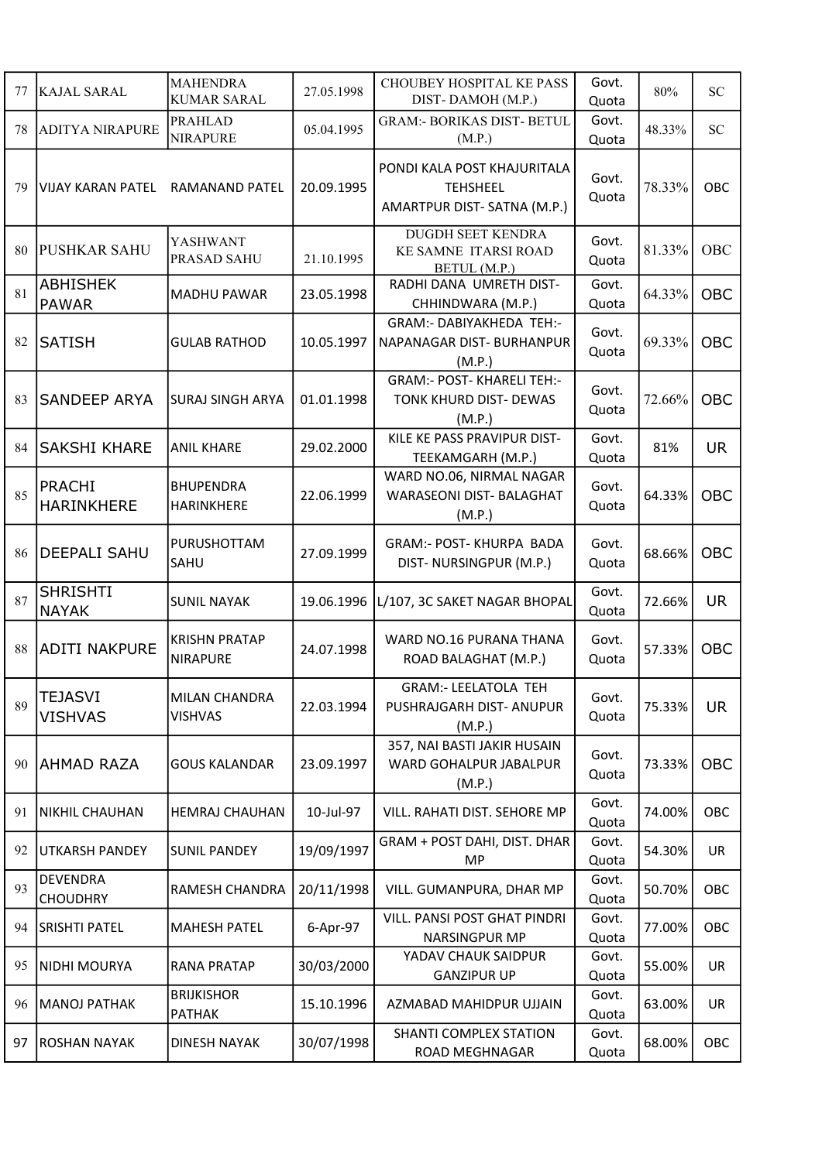| 77 | <b>KAJAL SARAL</b>                 | <b>MAHENDRA</b><br><b>KUMAR SARAL</b>  | 27.05.1998 | CHOUBEY HOSPITAL KE PASS<br>DIST-DAMOH (M.P.)                                | Govt.<br>Quota | 80%    | <b>SC</b>  |
|----|------------------------------------|----------------------------------------|------------|------------------------------------------------------------------------------|----------------|--------|------------|
| 78 | <b>ADITYA NIRAPURE</b>             | <b>PRAHLAD</b><br><b>NIRAPURE</b>      | 05.04.1995 | <b>GRAM:- BORIKAS DIST- BETUL</b><br>(M.P.)                                  | Govt.<br>Quota | 48.33% | <b>SC</b>  |
| 79 | VIJAY KARAN PATEL                  | <b>RAMANAND PATEL</b>                  | 20.09.1995 | PONDI KALA POST KHAJURITALA<br><b>TEHSHEEL</b><br>AMARTPUR DIST-SATNA (M.P.) | Govt.<br>Quota | 78.33% | OBC        |
| 80 | <b>PUSHKAR SAHU</b>                | YASHWANT<br>PRASAD SAHU                | 21.10.1995 | DUGDH SEET KENDRA<br>KE SAMNE ITARSI ROAD<br>BETUL (M.P.)                    | Govt.<br>Quota | 81.33% | OBC        |
| 81 | <b>ABHISHEK</b><br><b>PAWAR</b>    | <b>MADHU PAWAR</b>                     | 23.05.1998 | RADHI DANA UMRETH DIST-<br>CHHINDWARA (M.P.)                                 | Govt.<br>Quota | 64.33% | <b>OBC</b> |
| 82 | <b>SATISH</b>                      | <b>GULAB RATHOD</b>                    | 10.05.1997 | GRAM:- DABIYAKHEDA TEH:-<br>NAPANAGAR DIST- BURHANPUR<br>(M.P.)              | Govt.<br>Quota | 69.33% | OBC        |
| 83 | <b>SANDEEP ARYA</b>                | <b>SURAJ SINGH ARYA</b>                | 01.01.1998 | GRAM:- POST- KHARELI TEH:-<br>TONK KHURD DIST- DEWAS<br>(M.P.)               | Govt.<br>Quota | 72.66% | <b>OBC</b> |
| 84 | <b>SAKSHI KHARE</b>                | <b>ANIL KHARE</b>                      | 29.02.2000 | KILE KE PASS PRAVIPUR DIST-<br>TEEKAMGARH (M.P.)                             | Govt.<br>Quota | 81%    | <b>UR</b>  |
| 85 | PRACHI<br><b>HARINKHERE</b>        | <b>BHUPENDRA</b><br>HARINKHERE         | 22.06.1999 | WARD NO.06, NIRMAL NAGAR<br><b>WARASEONI DIST- BALAGHAT</b><br>(M.P.)        | Govt.<br>Quota | 64.33% | <b>OBC</b> |
| 86 | <b>DEEPALI SAHU</b>                | PURUSHOTTAM<br>SAHU                    | 27.09.1999 | <b>GRAM:- POST- KHURPA BADA</b><br>DIST-NURSINGPUR (M.P.)                    | Govt.<br>Quota | 68.66% | OBC        |
| 87 | <b>SHRISHTI</b><br><b>NAYAK</b>    | <b>SUNIL NAYAK</b>                     | 19.06.1996 | L/107, 3C SAKET NAGAR BHOPAL                                                 | Govt.<br>Quota | 72.66% | <b>UR</b>  |
| 88 | ADITI NAKPURE                      | <b>KRISHN PRATAP</b><br>NIRAPURE       | 24.07.1998 | WARD NO.16 PURANA THANA<br>ROAD BALAGHAT (M.P.)                              | Govt.<br>Quota | 57.33% | <b>OBC</b> |
| 89 | <b>TEJASVI</b><br><b>VISHVAS</b>   | <b>MILAN CHANDRA</b><br><b>VISHVAS</b> | 22.03.1994 | <b>GRAM:- LEELATOLA TEH</b><br>PUSHRAJGARH DIST- ANUPUR<br>(M.P.)            | Govt.<br>Quota | 75.33% | <b>UR</b>  |
| 90 | <b>AHMAD RAZA</b>                  | <b>GOUS KALANDAR</b>                   | 23.09.1997 | 357, NAI BASTI JAKIR HUSAIN<br>WARD GOHALPUR JABALPUR<br>(M.P.)              | Govt.<br>Quota | 73.33% | OBC        |
| 91 | <b>NIKHIL CHAUHAN</b>              | <b>HEMRAJ CHAUHAN</b>                  | 10-Jul-97  | VILL. RAHATI DIST. SEHORE MP                                                 | Govt.<br>Quota | 74.00% | OBC        |
| 92 | <b>UTKARSH PANDEY</b>              | <b>SUNIL PANDEY</b>                    | 19/09/1997 | GRAM + POST DAHI, DIST. DHAR<br><b>MP</b>                                    | Govt.<br>Quota | 54.30% | <b>UR</b>  |
| 93 | <b>DEVENDRA</b><br><b>CHOUDHRY</b> | RAMESH CHANDRA                         | 20/11/1998 | VILL. GUMANPURA, DHAR MP                                                     | Govt.<br>Quota | 50.70% | OBC        |
| 94 | <b>SRISHTI PATEL</b>               | <b>MAHESH PATEL</b>                    | 6-Apr-97   | VILL. PANSI POST GHAT PINDRI<br>NARSINGPUR MP                                | Govt.<br>Quota | 77.00% | OBC        |
| 95 | NIDHI MOURYA                       | <b>RANA PRATAP</b>                     | 30/03/2000 | YADAV CHAUK SAIDPUR<br><b>GANZIPUR UP</b>                                    | Govt.<br>Quota | 55.00% | <b>UR</b>  |
| 96 | <b>MANOJ PATHAK</b>                | <b>BRIJKISHOR</b><br>PATHAK            | 15.10.1996 | AZMABAD MAHIDPUR UJJAIN                                                      | Govt.<br>Quota | 63.00% | <b>UR</b>  |
| 97 | <b>ROSHAN NAYAK</b>                | <b>DINESH NAYAK</b>                    | 30/07/1998 | SHANTI COMPLEX STATION<br>ROAD MEGHNAGAR                                     | Govt.<br>Quota | 68.00% | OBC        |